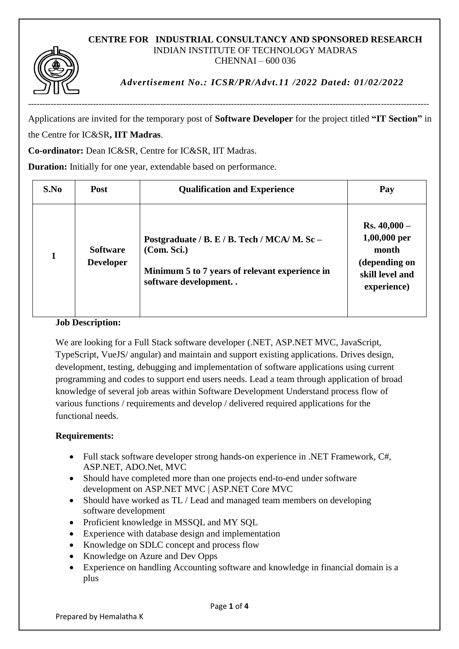## **CENTRE FOR INDUSTRIAL CONSULTANCY AND SPONSORED RESEARCH** INDIAN INSTITUTE OF TECHNOLOGY MADRAS CHENNAI – 600 036



*Advertisement No.: ICSR/PR/Advt.11 /2022 Dated: 01/02/2022*

Applications are invited for the temporary post of **Software Developer** for the project titled **"IT Section"** in the Centre for IC&SR**, IIT Madras**.

**Co-ordinator:** Dean IC&SR, Centre for IC&SR, IIT Madras.

**Duration:** Initially for one year, extendable based on performance.

| S.No | Post                                | <b>Qualification and Experience</b>                                                                                                   | Pay                                                                                        |
|------|-------------------------------------|---------------------------------------------------------------------------------------------------------------------------------------|--------------------------------------------------------------------------------------------|
|      | <b>Software</b><br><b>Developer</b> | Postgraduate / B. E / B. Tech / MCA/ M. Sc -<br>(Com. Sci.)<br>Minimum 5 to 7 years of relevant experience in<br>software development | $Rs.40,000-$<br>$1,00,000$ per<br>month<br>(depending on<br>skill level and<br>experience) |

## **Job Description:**

We are looking for a Full Stack software developer (.NET, ASP.NET MVC, JavaScript, TypeScript, VueJS/ angular) and maintain and support existing applications. Drives design, development, testing, debugging and implementation of software applications using current programming and codes to support end users needs. Lead a team through application of broad knowledge of several job areas within Software Development Understand process flow of various functions / requirements and develop / delivered required applications for the functional needs.

## **Requirements:**

- Full stack software developer strong hands-on experience in .NET Framework, C#, ASP.NET, ADO.Net, MVC
- Should have completed more than one projects end-to-end under software development on ASP.NET MVC | ASP.NET Core MVC
- Should have worked as TL / Lead and managed team members on developing software development
- Proficient knowledge in MSSOL and MY SOL
- Experience with database design and implementation
- Knowledge on SDLC concept and process flow
- Knowledge on Azure and Dev Opps
- Experience on handling Accounting software and knowledge in financial domain is a plus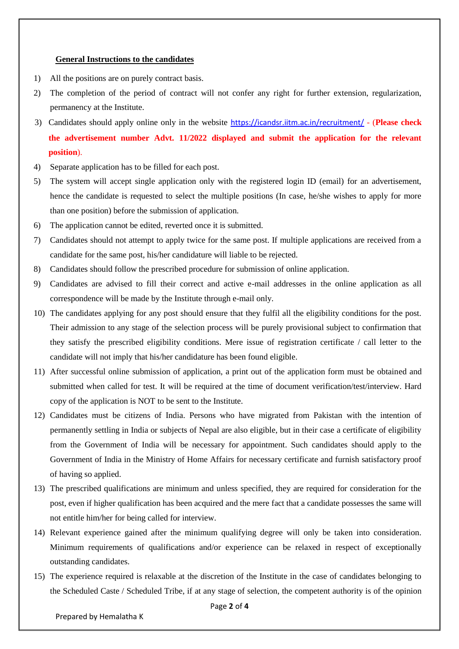## **General Instructions to the candidates**

- 1) All the positions are on purely contract basis.
- 2) The completion of the period of contract will not confer any right for further extension, regularization, permanency at the Institute.
- 3) Candidates should apply online only in the website <https://icandsr.iitm.ac.in/recruitment/> (**Please check the advertisement number Advt. 11/2022 displayed and submit the application for the relevant position**).
- 4) Separate application has to be filled for each post.
- 5) The system will accept single application only with the registered login ID (email) for an advertisement, hence the candidate is requested to select the multiple positions (In case, he/she wishes to apply for more than one position) before the submission of application.
- 6) The application cannot be edited, reverted once it is submitted.
- 7) Candidates should not attempt to apply twice for the same post. If multiple applications are received from a candidate for the same post, his/her candidature will liable to be rejected.
- 8) Candidates should follow the prescribed procedure for submission of online application.
- 9) Candidates are advised to fill their correct and active e-mail addresses in the online application as all correspondence will be made by the Institute through e-mail only.
- 10) The candidates applying for any post should ensure that they fulfil all the eligibility conditions for the post. Their admission to any stage of the selection process will be purely provisional subject to confirmation that they satisfy the prescribed eligibility conditions. Mere issue of registration certificate / call letter to the candidate will not imply that his/her candidature has been found eligible.
- 11) After successful online submission of application, a print out of the application form must be obtained and submitted when called for test. It will be required at the time of document verification/test/interview. Hard copy of the application is NOT to be sent to the Institute.
- 12) Candidates must be citizens of India. Persons who have migrated from Pakistan with the intention of permanently settling in India or subjects of Nepal are also eligible, but in their case a certificate of eligibility from the Government of India will be necessary for appointment. Such candidates should apply to the Government of India in the Ministry of Home Affairs for necessary certificate and furnish satisfactory proof of having so applied.
- 13) The prescribed qualifications are minimum and unless specified, they are required for consideration for the post, even if higher qualification has been acquired and the mere fact that a candidate possesses the same will not entitle him/her for being called for interview.
- 14) Relevant experience gained after the minimum qualifying degree will only be taken into consideration. Minimum requirements of qualifications and/or experience can be relaxed in respect of exceptionally outstanding candidates.
- 15) The experience required is relaxable at the discretion of the Institute in the case of candidates belonging to the Scheduled Caste / Scheduled Tribe, if at any stage of selection, the competent authority is of the opinion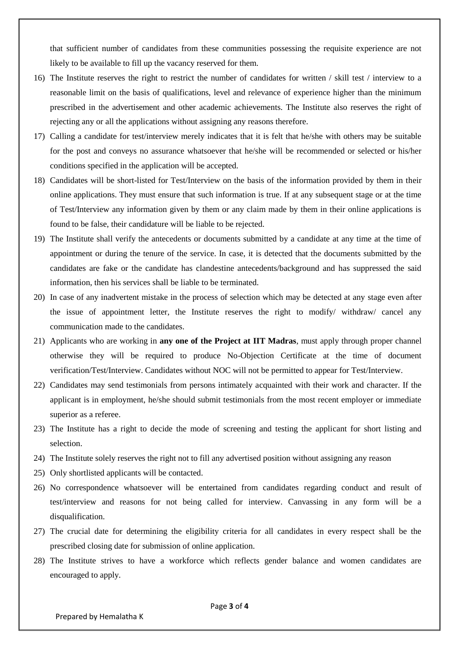that sufficient number of candidates from these communities possessing the requisite experience are not likely to be available to fill up the vacancy reserved for them.

- 16) The Institute reserves the right to restrict the number of candidates for written / skill test / interview to a reasonable limit on the basis of qualifications, level and relevance of experience higher than the minimum prescribed in the advertisement and other academic achievements. The Institute also reserves the right of rejecting any or all the applications without assigning any reasons therefore.
- 17) Calling a candidate for test/interview merely indicates that it is felt that he/she with others may be suitable for the post and conveys no assurance whatsoever that he/she will be recommended or selected or his/her conditions specified in the application will be accepted.
- 18) Candidates will be short-listed for Test/Interview on the basis of the information provided by them in their online applications. They must ensure that such information is true. If at any subsequent stage or at the time of Test/Interview any information given by them or any claim made by them in their online applications is found to be false, their candidature will be liable to be rejected.
- 19) The Institute shall verify the antecedents or documents submitted by a candidate at any time at the time of appointment or during the tenure of the service. In case, it is detected that the documents submitted by the candidates are fake or the candidate has clandestine antecedents/background and has suppressed the said information, then his services shall be liable to be terminated.
- 20) In case of any inadvertent mistake in the process of selection which may be detected at any stage even after the issue of appointment letter, the Institute reserves the right to modify/ withdraw/ cancel any communication made to the candidates.
- 21) Applicants who are working in **any one of the Project at IIT Madras**, must apply through proper channel otherwise they will be required to produce No-Objection Certificate at the time of document verification/Test/Interview. Candidates without NOC will not be permitted to appear for Test/Interview.
- 22) Candidates may send testimonials from persons intimately acquainted with their work and character. If the applicant is in employment, he/she should submit testimonials from the most recent employer or immediate superior as a referee.
- 23) The Institute has a right to decide the mode of screening and testing the applicant for short listing and selection.
- 24) The Institute solely reserves the right not to fill any advertised position without assigning any reason
- 25) Only shortlisted applicants will be contacted.
- 26) No correspondence whatsoever will be entertained from candidates regarding conduct and result of test/interview and reasons for not being called for interview. Canvassing in any form will be a disqualification.
- 27) The crucial date for determining the eligibility criteria for all candidates in every respect shall be the prescribed closing date for submission of online application.
- 28) The Institute strives to have a workforce which reflects gender balance and women candidates are encouraged to apply.